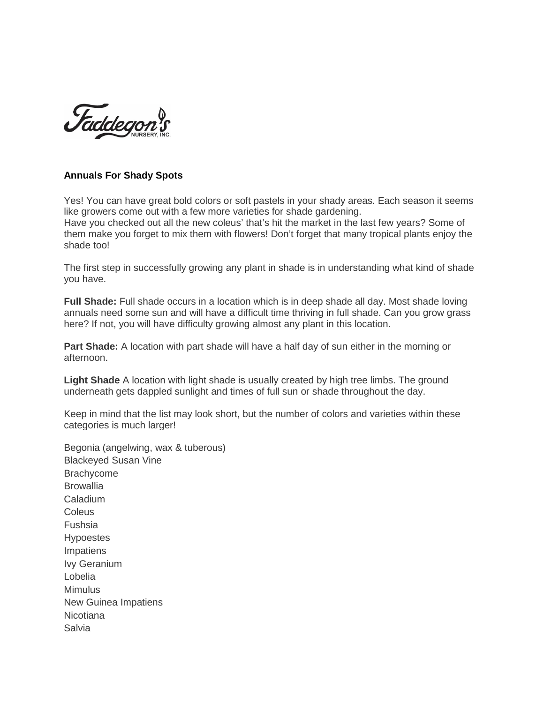

## **Annuals For Shady Spots**

Yes! You can have great bold colors or soft pastels in your shady areas. Each season it seems like growers come out with a few more varieties for shade gardening.

Have you checked out all the new coleus' that's hit the market in the last few years? Some of them make you forget to mix them with flowers! Don't forget that many tropical plants enjoy the shade too!

The first step in successfully growing any plant in shade is in understanding what kind of shade you have.

**Full Shade:** Full shade occurs in a location which is in deep shade all day. Most shade loving annuals need some sun and will have a difficult time thriving in full shade. Can you grow grass here? If not, you will have difficulty growing almost any plant in this location.

**Part Shade:** A location with part shade will have a half day of sun either in the morning or afternoon.

**Light Shade** A location with light shade is usually created by high tree limbs. The ground underneath gets dappled sunlight and times of full sun or shade throughout the day.

Keep in mind that the list may look short, but the number of colors and varieties within these categories is much larger!

Begonia (angelwing, wax & tuberous) Blackeyed Susan Vine Brachycome **Browallia** Caladium Coleus Fushsia **Hypoestes** Impatiens Ivy Geranium Lobelia **Mimulus** New Guinea Impatiens Nicotiana Salvia